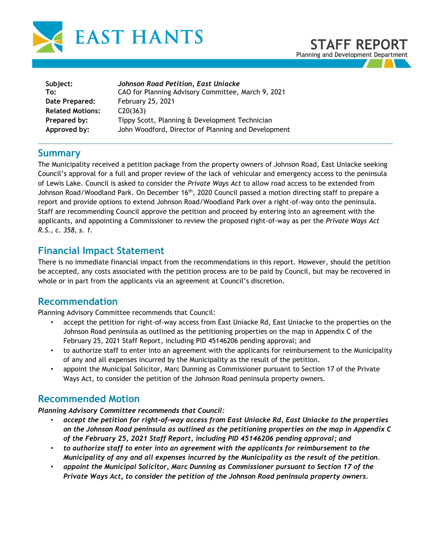



| Subject:                | Johnson Road Petition, East Uniacke                 |
|-------------------------|-----------------------------------------------------|
| To:                     | CAO for Planning Advisory Committee, March 9, 2021  |
| Date Prepared:          | February 25, 2021                                   |
| <b>Related Motions:</b> | C20(363)                                            |
| Prepared by:            | Tippy Scott, Planning & Development Technician      |
| Approved by:            | John Woodford, Director of Planning and Development |

#### **Summary**

The Municipality received a petition package from the property owners of Johnson Road, East Uniacke seeking Council's approval for a full and proper review of the lack of vehicular and emergency access to the peninsula of Lewis Lake. Council is asked to consider the *Private Ways Act* to allow road access to be extended from Johnson Road/Woodland Park. On December 16th, 2020 Council passed a motion directing staff to prepare a report and provide options to extend Johnson Road/Woodland Park over a right-of-way onto the peninsula. Staff are recommending Council approve the petition and proceed by entering into an agreement with the applicants, and appointing a Commissioner to review the proposed right-of-way as per the *Private Ways Act R.S., c. 358, s. 1.*

#### **Financial Impact Statement**

There is no immediate financial impact from the recommendations in this report. However, should the petition be accepted, any costs associated with the petition process are to be paid by Council, but may be recovered in whole or in part from the applicants via an agreement at Council's discretion.

### **Recommendation**

Planning Advisory Committee recommends that Council:

- accept the petition for right-of-way access from East Uniacke Rd, East Uniacke to the properties on the Johnson Road peninsula as outlined as the petitioning properties on the map in Appendix C of the February 25, 2021 Staff Report, including PID 45146206 pending approval; and
- to authorize staff to enter into an agreement with the applicants for reimbursement to the Municipality of any and all expenses incurred by the Municipality as the result of the petition.
- appoint the Municipal Solicitor, Marc Dunning as Commissioner pursuant to Section 17 of the Private Ways Act, to consider the petition of the Johnson Road peninsula property owners.

### **Recommended Motion**

*Planning Advisory Committee recommends that Council:*

- *accept the petition for right-of-way access from East Uniacke Rd, East Uniacke to the properties on the Johnson Road peninsula as outlined as the petitioning properties on the map in Appendix C of the February 25, 2021 Staff Report, including PID 45146206 pending approval; and*
- *to authorize staff to enter into an agreement with the applicants for reimbursement to the Municipality of any and all expenses incurred by the Municipality as the result of the petition.*
- *appoint the Municipal Solicitor, Marc Dunning as Commissioner pursuant to Section 17 of the Private Ways Act, to consider the petition of the Johnson Road peninsula property owners.*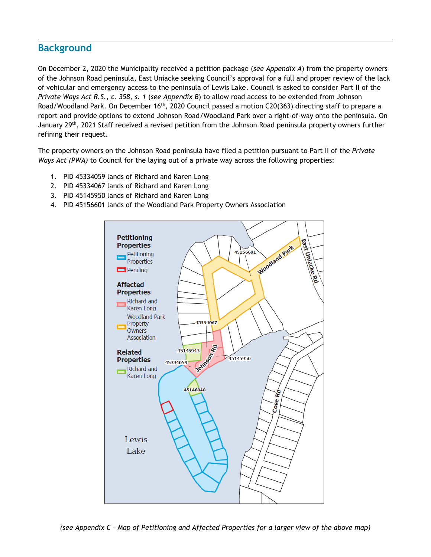## **Background**

On December 2, 2020 the Municipality received a petition package (*see Appendix A*) from the property owners of the Johnson Road peninsula, East Uniacke seeking Council's approval for a full and proper review of the lack of vehicular and emergency access to the peninsula of Lewis Lake. Council is asked to consider Part II of the *Private Ways Act R.S., c. 358, s. 1* (*see Appendix B*) to allow road access to be extended from Johnson Road/Woodland Park. On December 16<sup>th</sup>, 2020 Council passed a motion C20(363) directing staff to prepare a report and provide options to extend Johnson Road/Woodland Park over a right-of-way onto the peninsula. On January 29th, 2021 Staff received a revised petition from the Johnson Road peninsula property owners further refining their request.

The property owners on the Johnson Road peninsula have filed a petition pursuant to Part II of the *Private Ways Act (PWA)* to Council for the laying out of a private way across the following properties:

- 1. PID 45334059 lands of Richard and Karen Long
- 2. PID 45334067 lands of Richard and Karen Long
- 3. PID 45145950 lands of Richard and Karen Long
- 4. PID 45156601 lands of the Woodland Park Property Owners Association

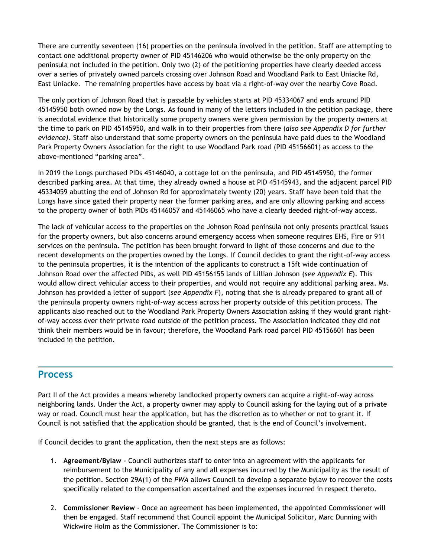There are currently seventeen (16) properties on the peninsula involved in the petition. Staff are attempting to contact one additional property owner of PID 45146206 who would otherwise be the only property on the peninsula not included in the petition. Only two (2) of the petitioning properties have clearly deeded access over a series of privately owned parcels crossing over Johnson Road and Woodland Park to East Uniacke Rd, East Uniacke. The remaining properties have access by boat via a right-of-way over the nearby Cove Road.

The only portion of Johnson Road that is passable by vehicles starts at PID 45334067 and ends around PID 45145950 both owned now by the Longs. As found in many of the letters included in the petition package, there is anecdotal evidence that historically some property owners were given permission by the property owners at the time to park on PID 45145950, and walk in to their properties from there (*also see Appendix D for further evidence)*. Staff also understand that some property owners on the peninsula have paid dues to the Woodland Park Property Owners Association for the right to use Woodland Park road (PID 45156601) as access to the above-mentioned "parking area".

In 2019 the Longs purchased PIDs 45146040, a cottage lot on the peninsula, and PID 45145950, the former described parking area. At that time, they already owned a house at PID 45145943, and the adjacent parcel PID 45334059 abutting the end of Johnson Rd for approximately twenty (20) years. Staff have been told that the Longs have since gated their property near the former parking area, and are only allowing parking and access to the property owner of both PIDs 45146057 and 45146065 who have a clearly deeded right-of-way access.

The lack of vehicular access to the properties on the Johnson Road peninsula not only presents practical issues for the property owners, but also concerns around emergency access when someone requires EHS, Fire or 911 services on the peninsula. The petition has been brought forward in light of those concerns and due to the recent developments on the properties owned by the Longs. If Council decides to grant the right-of-way access to the peninsula properties, it is the intention of the applicants to construct a 15ft wide continuation of Johnson Road over the affected PIDs, as well PID 45156155 lands of Lillian Johnson (*see Appendix E*). This would allow direct vehicular access to their properties, and would not require any additional parking area. Ms. Johnson has provided a letter of support (*see Appendix F*), noting that she is already prepared to grant all of the peninsula property owners right-of-way access across her property outside of this petition process. The applicants also reached out to the Woodland Park Property Owners Association asking if they would grant rightof-way access over their private road outside of the petition process. The Association indicated they did not think their members would be in favour; therefore, the Woodland Park road parcel PID 45156601 has been included in the petition.

## **Process**

Part II of the Act provides a means whereby landlocked property owners can acquire a right-of-way across neighboring lands. Under the Act, a property owner may apply to Council asking for the laying out of a private way or road. Council must hear the application, but has the discretion as to whether or not to grant it. If Council is not satisfied that the application should be granted, that is the end of Council's involvement.

If Council decides to grant the application, then the next steps are as follows:

- 1. **Agreement/Bylaw** Council authorizes staff to enter into an agreement with the applicants for reimbursement to the Municipality of any and all expenses incurred by the Municipality as the result of the petition. Section 29A(1) of the *PWA* allows Council to develop a separate bylaw to recover the costs specifically related to the compensation ascertained and the expenses incurred in respect thereto.
- 2. **Commissioner Review** Once an agreement has been implemented, the appointed Commissioner will then be engaged. Staff recommend that Council appoint the Municipal Solicitor, Marc Dunning with Wickwire Holm as the Commissioner. The Commissioner is to: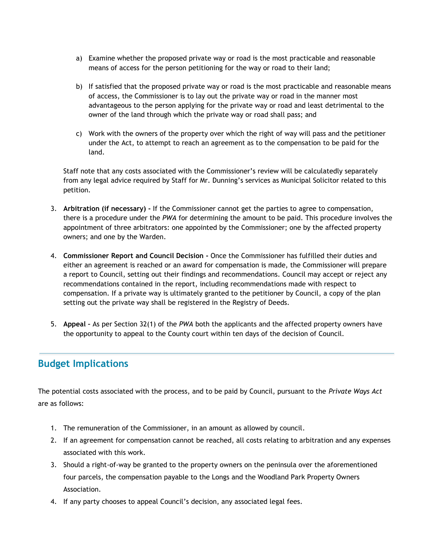- a) Examine whether the proposed private way or road is the most practicable and reasonable means of access for the person petitioning for the way or road to their land;
- b) If satisfied that the proposed private way or road is the most practicable and reasonable means of access, the Commissioner is to lay out the private way or road in the manner most advantageous to the person applying for the private way or road and least detrimental to the owner of the land through which the private way or road shall pass; and
- c) Work with the owners of the property over which the right of way will pass and the petitioner under the Act, to attempt to reach an agreement as to the compensation to be paid for the land.

Staff note that any costs associated with the Commissioner's review will be calculatedly separately from any legal advice required by Staff for Mr. Dunning's services as Municipal Solicitor related to this petition.

- 3. **Arbitration (if necessary) -** If the Commissioner cannot get the parties to agree to compensation, there is a procedure under the *PWA* for determining the amount to be paid. This procedure involves the appointment of three arbitrators: one appointed by the Commissioner; one by the affected property owners; and one by the Warden.
- 4. **Commissioner Report and Council Decision -** Once the Commissioner has fulfilled their duties and either an agreement is reached or an award for compensation is made, the Commissioner will prepare a report to Council, setting out their findings and recommendations. Council may accept or reject any recommendations contained in the report, including recommendations made with respect to compensation. If a private way is ultimately granted to the petitioner by Council, a copy of the plan setting out the private way shall be registered in the Registry of Deeds.
- 5. **Appeal –** As per Section 32(1) of the *PWA* both the applicants and the affected property owners have the opportunity to appeal to the County court within ten days of the decision of Council.

# **Budget Implications**

The potential costs associated with the process, and to be paid by Council, pursuant to the *Private Ways Act*  are as follows:

- 1. The remuneration of the Commissioner, in an amount as allowed by council.
- 2. If an agreement for compensation cannot be reached, all costs relating to arbitration and any expenses associated with this work.
- 3. Should a right-of-way be granted to the property owners on the peninsula over the aforementioned four parcels, the compensation payable to the Longs and the Woodland Park Property Owners Association.
- 4. If any party chooses to appeal Council's decision, any associated legal fees.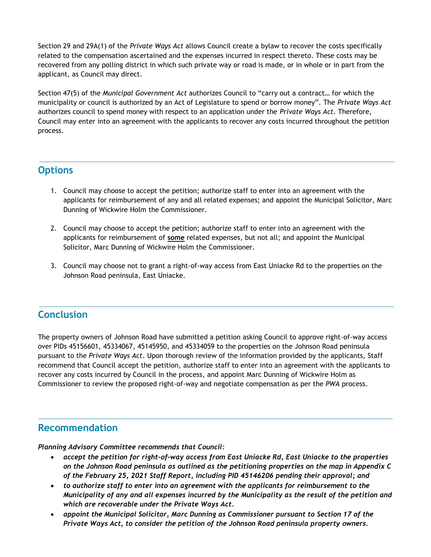Section 29 and 29A(1) of the *Private Ways Act* allows Council create a bylaw to recover the costs specifically related to the compensation ascertained and the expenses incurred in respect thereto. These costs may be recovered from any polling district in which such private way or road is made, or in whole or in part from the applicant, as Council may direct.

Section 47(5) of the *Municipal Government Act* authorizes Council to "carry out a contract… for which the municipality or council is authorized by an Act of Legislature to spend or borrow money". The *Private Ways Act* authorizes council to spend money with respect to an application under the *Private Ways Act.* Therefore, Council may enter into an agreement with the applicants to recover any costs incurred throughout the petition process.

### **Options**

- 1. Council may choose to accept the petition; authorize staff to enter into an agreement with the applicants for reimbursement of any and all related expenses; and appoint the Municipal Solicitor, Marc Dunning of Wickwire Holm the Commissioner.
- 2. Council may choose to accept the petition; authorize staff to enter into an agreement with the applicants for reimbursement of **some** related expenses, but not all; and appoint the Municipal Solicitor, Marc Dunning of Wickwire Holm the Commissioner.
- 3. Council may choose not to grant a right-of-way access from East Uniacke Rd to the properties on the Johnson Road peninsula, East Uniacke.

## **Conclusion**

The property owners of Johnson Road have submitted a petition asking Council to approve right-of-way access over PIDs 45156601, 45334067, 45145950, and 45334059 to the properties on the Johnson Road peninsula pursuant to the *Private Ways Act*. Upon thorough review of the information provided by the applicants, Staff recommend that Council accept the petition, authorize staff to enter into an agreement with the applicants to recover any costs incurred by Council in the process, and appoint Marc Dunning of Wickwire Holm as Commissioner to review the proposed right-of-way and negotiate compensation as per the *PWA* process.

### **Recommendation**

*Planning Advisory Committee recommends that Council:*

- *accept the petition for right-of-way access from East Uniacke Rd, East Uniacke to the properties on the Johnson Road peninsula as outlined as the petitioning properties on the map in Appendix C of the February 25, 2021 Staff Report, including PID 45146206 pending their approval; and*
- *to authorize staff to enter into an agreement with the applicants for reimbursement to the Municipality of any and all expenses incurred by the Municipality as the result of the petition and which are recoverable under the Private Ways Act.*
- *appoint the Municipal Solicitor, Marc Dunning as Commissioner pursuant to Section 17 of the Private Ways Act, to consider the petition of the Johnson Road peninsula property owners.*